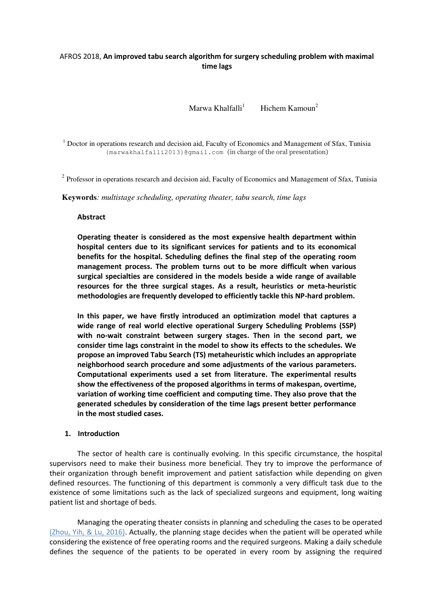## AFROS 2018, **An improved tabu search algorithm for surgery scheduling problem with maximal time lags**

Marwa Khalfalli<sup>1</sup> Hichem Kamoun<sup>2</sup>

<sup>1</sup> Doctor in operations research and decision aid, Faculty of Economics and Management of Sfax, Tunisia {marwakhalfalli2013}@gmail.com (in charge of the oral presentation)

 $2$  Professor in operations research and decision aid, Faculty of Economics and Management of Sfax, Tunisia

**Keywords***: multistage scheduling, operating theater, tabu search, time lags* 

## **Abstract**

**Operating theater is considered as the most expensive health department within hospital centers due to its significant services for patients and to its economical benefits for the hospital. Scheduling defines the final step of the operating room management process. The problem turns out to be more difficult when various surgical specialties are considered in the models beside a wide range of available resources for the three surgical stages. As a result, heuristics or meta-heuristic methodologies are frequently developed to efficiently tackle this NP-hard problem.** 

**In this paper, we have firstly introduced an optimization model that captures a wide range of real world elective operational Surgery Scheduling Problems (SSP) with no-wait constraint between surgery stages. Then in the second part, we consider time lags constraint in the model to show its effects to the schedules. We propose an improved Tabu Search (TS) metaheuristic which includes an appropriate neighborhood search procedure and some adjustments of the various parameters. Computational experiments used a set from literature. The experimental results show the effectiveness of the proposed algorithms in terms of makespan, overtime, variation of working time coefficient and computing time. They also prove that the generated schedules by consideration of the time lags present better performance in the most studied cases.** 

## **1. Introduction**

The sector of health care is continually evolving. In this specific circumstance, the hospital supervisors need to make their business more beneficial. They try to improve the performance of their organization through benefit improvement and patient satisfaction while depending on given defined resources. The functioning of this department is commonly a very difficult task due to the existence of some limitations such as the lack of specialized surgeons and equipment, long waiting patient list and shortage of beds.

Managing the operating theater consists in planning and scheduling the cases to be operated (Zhou, Yih, & Lu, 2016). Actually, the planning stage decides when the patient will be operated while considering the existence of free operating rooms and the required surgeons. Making a daily schedule defines the sequence of the patients to be operated in every room by assigning the required